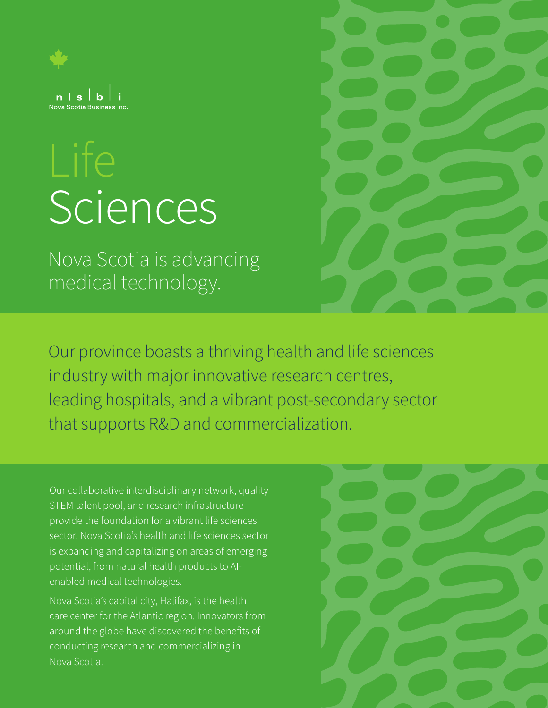

# **Sciences**

Nova Scotia is advancing medical technology.

Our province boasts a thriving health and life sciences industry with major innovative research centres, leading hospitals, and a vibrant post-secondary sector that supports R&D and commercialization.

Our collaborative interdisciplinary network, quality STEM talent pool, and research infrastructure provide the foundation for a vibrant life sciences sector. Nova Scotia's health and life sciences sector is expanding and capitalizing on areas of emerging potential, from natural health products to AIenabled medical technologies.

Nova Scotia's capital city, Halifax, is the health care center for the Atlantic region. Innovators from around the globe have discovered the benefits of conducting research and commercializing in Nova Scotia.